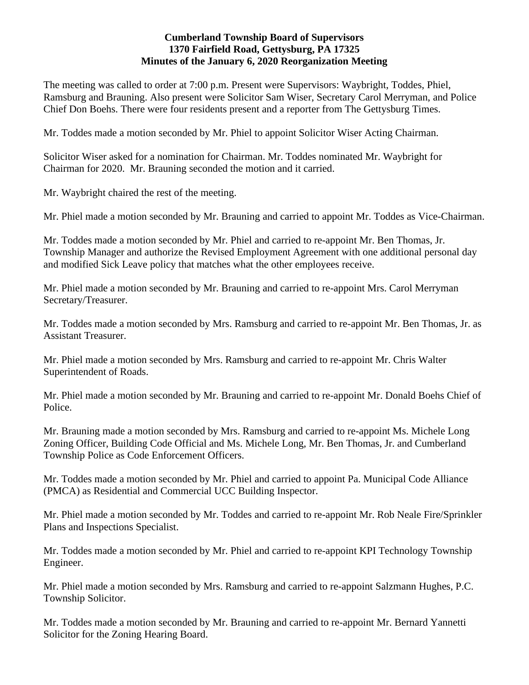# **Cumberland Township Board of Supervisors 1370 Fairfield Road, Gettysburg, PA 17325 Minutes of the January 6, 2020 Reorganization Meeting**

The meeting was called to order at 7:00 p.m. Present were Supervisors: Waybright, Toddes, Phiel, Ramsburg and Brauning. Also present were Solicitor Sam Wiser, Secretary Carol Merryman, and Police Chief Don Boehs. There were four residents present and a reporter from The Gettysburg Times.

Mr. Toddes made a motion seconded by Mr. Phiel to appoint Solicitor Wiser Acting Chairman.

Solicitor Wiser asked for a nomination for Chairman. Mr. Toddes nominated Mr. Waybright for Chairman for 2020. Mr. Brauning seconded the motion and it carried.

Mr. Waybright chaired the rest of the meeting.

Mr. Phiel made a motion seconded by Mr. Brauning and carried to appoint Mr. Toddes as Vice-Chairman.

Mr. Toddes made a motion seconded by Mr. Phiel and carried to re-appoint Mr. Ben Thomas, Jr. Township Manager and authorize the Revised Employment Agreement with one additional personal day and modified Sick Leave policy that matches what the other employees receive.

Mr. Phiel made a motion seconded by Mr. Brauning and carried to re-appoint Mrs. Carol Merryman Secretary/Treasurer.

Mr. Toddes made a motion seconded by Mrs. Ramsburg and carried to re-appoint Mr. Ben Thomas, Jr. as Assistant Treasurer.

Mr. Phiel made a motion seconded by Mrs. Ramsburg and carried to re-appoint Mr. Chris Walter Superintendent of Roads.

Mr. Phiel made a motion seconded by Mr. Brauning and carried to re-appoint Mr. Donald Boehs Chief of Police.

Mr. Brauning made a motion seconded by Mrs. Ramsburg and carried to re-appoint Ms. Michele Long Zoning Officer, Building Code Official and Ms. Michele Long, Mr. Ben Thomas, Jr. and Cumberland Township Police as Code Enforcement Officers.

Mr. Toddes made a motion seconded by Mr. Phiel and carried to appoint Pa. Municipal Code Alliance (PMCA) as Residential and Commercial UCC Building Inspector.

Mr. Phiel made a motion seconded by Mr. Toddes and carried to re-appoint Mr. Rob Neale Fire/Sprinkler Plans and Inspections Specialist.

Mr. Toddes made a motion seconded by Mr. Phiel and carried to re-appoint KPI Technology Township Engineer.

Mr. Phiel made a motion seconded by Mrs. Ramsburg and carried to re-appoint Salzmann Hughes, P.C. Township Solicitor.

Mr. Toddes made a motion seconded by Mr. Brauning and carried to re-appoint Mr. Bernard Yannetti Solicitor for the Zoning Hearing Board.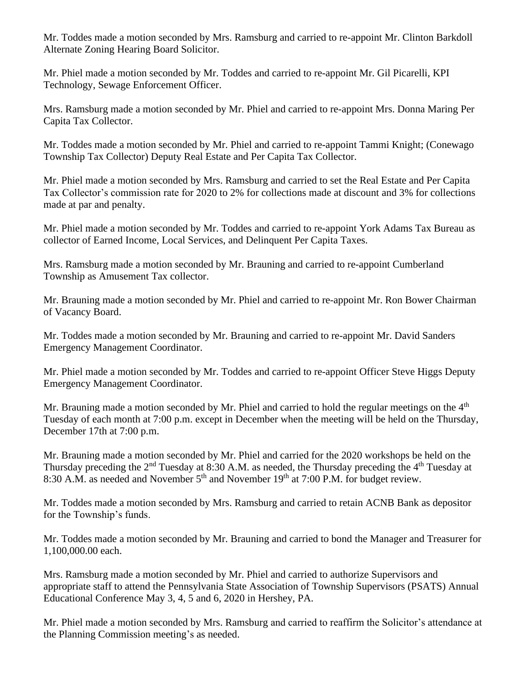Mr. Toddes made a motion seconded by Mrs. Ramsburg and carried to re-appoint Mr. Clinton Barkdoll Alternate Zoning Hearing Board Solicitor.

Mr. Phiel made a motion seconded by Mr. Toddes and carried to re-appoint Mr. Gil Picarelli, KPI Technology, Sewage Enforcement Officer.

Mrs. Ramsburg made a motion seconded by Mr. Phiel and carried to re-appoint Mrs. Donna Maring Per Capita Tax Collector.

Mr. Toddes made a motion seconded by Mr. Phiel and carried to re-appoint Tammi Knight; (Conewago Township Tax Collector) Deputy Real Estate and Per Capita Tax Collector.

Mr. Phiel made a motion seconded by Mrs. Ramsburg and carried to set the Real Estate and Per Capita Tax Collector's commission rate for 2020 to 2% for collections made at discount and 3% for collections made at par and penalty.

Mr. Phiel made a motion seconded by Mr. Toddes and carried to re-appoint York Adams Tax Bureau as collector of Earned Income, Local Services, and Delinquent Per Capita Taxes.

Mrs. Ramsburg made a motion seconded by Mr. Brauning and carried to re-appoint Cumberland Township as Amusement Tax collector.

Mr. Brauning made a motion seconded by Mr. Phiel and carried to re-appoint Mr. Ron Bower Chairman of Vacancy Board.

Mr. Toddes made a motion seconded by Mr. Brauning and carried to re-appoint Mr. David Sanders Emergency Management Coordinator.

Mr. Phiel made a motion seconded by Mr. Toddes and carried to re-appoint Officer Steve Higgs Deputy Emergency Management Coordinator.

Mr. Brauning made a motion seconded by Mr. Phiel and carried to hold the regular meetings on the 4<sup>th</sup> Tuesday of each month at 7:00 p.m. except in December when the meeting will be held on the Thursday, December 17th at 7:00 p.m.

Mr. Brauning made a motion seconded by Mr. Phiel and carried for the 2020 workshops be held on the Thursday preceding the  $2<sup>nd</sup>$  Tuesday at 8:30 A.M. as needed, the Thursday preceding the  $4<sup>th</sup>$  Tuesday at 8:30 A.M. as needed and November  $5<sup>th</sup>$  and November 19<sup>th</sup> at 7:00 P.M. for budget review.

Mr. Toddes made a motion seconded by Mrs. Ramsburg and carried to retain ACNB Bank as depositor for the Township's funds.

Mr. Toddes made a motion seconded by Mr. Brauning and carried to bond the Manager and Treasurer for 1,100,000.00 each.

Mrs. Ramsburg made a motion seconded by Mr. Phiel and carried to authorize Supervisors and appropriate staff to attend the Pennsylvania State Association of Township Supervisors (PSATS) Annual Educational Conference May 3, 4, 5 and 6, 2020 in Hershey, PA.

Mr. Phiel made a motion seconded by Mrs. Ramsburg and carried to reaffirm the Solicitor's attendance at the Planning Commission meeting's as needed.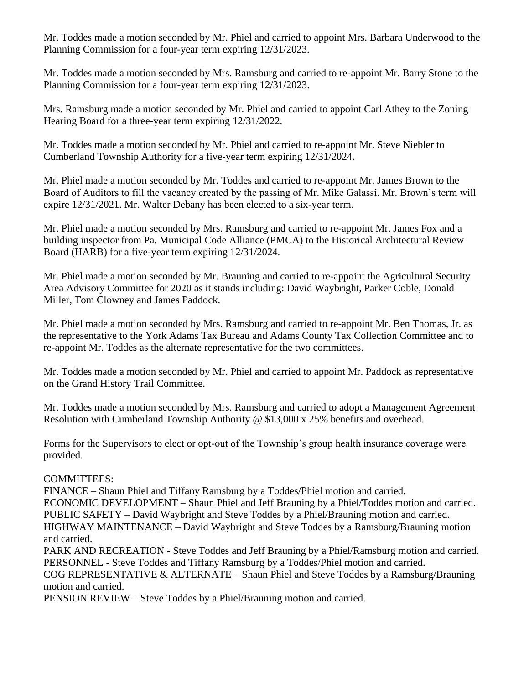Mr. Toddes made a motion seconded by Mr. Phiel and carried to appoint Mrs. Barbara Underwood to the Planning Commission for a four-year term expiring 12/31/2023.

Mr. Toddes made a motion seconded by Mrs. Ramsburg and carried to re-appoint Mr. Barry Stone to the Planning Commission for a four-year term expiring 12/31/2023.

Mrs. Ramsburg made a motion seconded by Mr. Phiel and carried to appoint Carl Athey to the Zoning Hearing Board for a three-year term expiring 12/31/2022.

Mr. Toddes made a motion seconded by Mr. Phiel and carried to re-appoint Mr. Steve Niebler to Cumberland Township Authority for a five-year term expiring 12/31/2024.

Mr. Phiel made a motion seconded by Mr. Toddes and carried to re-appoint Mr. James Brown to the Board of Auditors to fill the vacancy created by the passing of Mr. Mike Galassi. Mr. Brown's term will expire 12/31/2021. Mr. Walter Debany has been elected to a six-year term.

Mr. Phiel made a motion seconded by Mrs. Ramsburg and carried to re-appoint Mr. James Fox and a building inspector from Pa. Municipal Code Alliance (PMCA) to the Historical Architectural Review Board (HARB) for a five-year term expiring 12/31/2024.

Mr. Phiel made a motion seconded by Mr. Brauning and carried to re-appoint the Agricultural Security Area Advisory Committee for 2020 as it stands including: David Waybright, Parker Coble, Donald Miller, Tom Clowney and James Paddock.

Mr. Phiel made a motion seconded by Mrs. Ramsburg and carried to re-appoint Mr. Ben Thomas, Jr. as the representative to the York Adams Tax Bureau and Adams County Tax Collection Committee and to re-appoint Mr. Toddes as the alternate representative for the two committees.

Mr. Toddes made a motion seconded by Mr. Phiel and carried to appoint Mr. Paddock as representative on the Grand History Trail Committee.

Mr. Toddes made a motion seconded by Mrs. Ramsburg and carried to adopt a Management Agreement Resolution with Cumberland Township Authority @ \$13,000 x 25% benefits and overhead.

Forms for the Supervisors to elect or opt-out of the Township's group health insurance coverage were provided.

# COMMITTEES:

FINANCE – Shaun Phiel and Tiffany Ramsburg by a Toddes/Phiel motion and carried.

ECONOMIC DEVELOPMENT – Shaun Phiel and Jeff Brauning by a Phiel/Toddes motion and carried. PUBLIC SAFETY – David Waybright and Steve Toddes by a Phiel/Brauning motion and carried.

HIGHWAY MAINTENANCE – David Waybright and Steve Toddes by a Ramsburg/Brauning motion and carried.

PARK AND RECREATION - Steve Toddes and Jeff Brauning by a Phiel/Ramsburg motion and carried. PERSONNEL - Steve Toddes and Tiffany Ramsburg by a Toddes/Phiel motion and carried.

COG REPRESENTATIVE & ALTERNATE – Shaun Phiel and Steve Toddes by a Ramsburg/Brauning motion and carried.

PENSION REVIEW – Steve Toddes by a Phiel/Brauning motion and carried.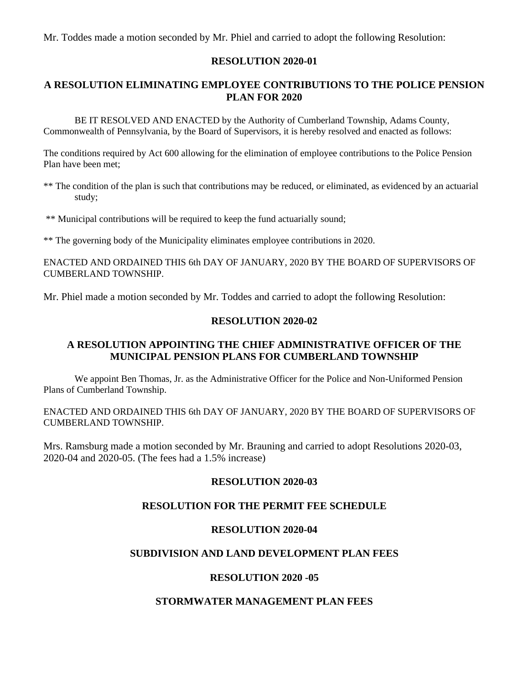Mr. Toddes made a motion seconded by Mr. Phiel and carried to adopt the following Resolution:

## **RESOLUTION 2020-01**

# **A RESOLUTION ELIMINATING EMPLOYEE CONTRIBUTIONS TO THE POLICE PENSION PLAN FOR 2020**

BE IT RESOLVED AND ENACTED by the Authority of Cumberland Township, Adams County, Commonwealth of Pennsylvania, by the Board of Supervisors, it is hereby resolved and enacted as follows:

The conditions required by Act 600 allowing for the elimination of employee contributions to the Police Pension Plan have been met;

- \*\* The condition of the plan is such that contributions may be reduced, or eliminated, as evidenced by an actuarial study;
- \*\* Municipal contributions will be required to keep the fund actuarially sound;

\*\* The governing body of the Municipality eliminates employee contributions in 2020.

ENACTED AND ORDAINED THIS 6th DAY OF JANUARY, 2020 BY THE BOARD OF SUPERVISORS OF CUMBERLAND TOWNSHIP.

Mr. Phiel made a motion seconded by Mr. Toddes and carried to adopt the following Resolution:

### **RESOLUTION 2020-02**

## **A RESOLUTION APPOINTING THE CHIEF ADMINISTRATIVE OFFICER OF THE MUNICIPAL PENSION PLANS FOR CUMBERLAND TOWNSHIP**

We appoint Ben Thomas, Jr. as the Administrative Officer for the Police and Non-Uniformed Pension Plans of Cumberland Township.

ENACTED AND ORDAINED THIS 6th DAY OF JANUARY, 2020 BY THE BOARD OF SUPERVISORS OF CUMBERLAND TOWNSHIP.

Mrs. Ramsburg made a motion seconded by Mr. Brauning and carried to adopt Resolutions 2020-03, 2020-04 and 2020-05. (The fees had a 1.5% increase)

### **RESOLUTION 2020-03**

# **RESOLUTION FOR THE PERMIT FEE SCHEDULE**

#### **RESOLUTION 2020-04**

## **SUBDIVISION AND LAND DEVELOPMENT PLAN FEES**

#### **RESOLUTION 2020 -05**

### **STORMWATER MANAGEMENT PLAN FEES**